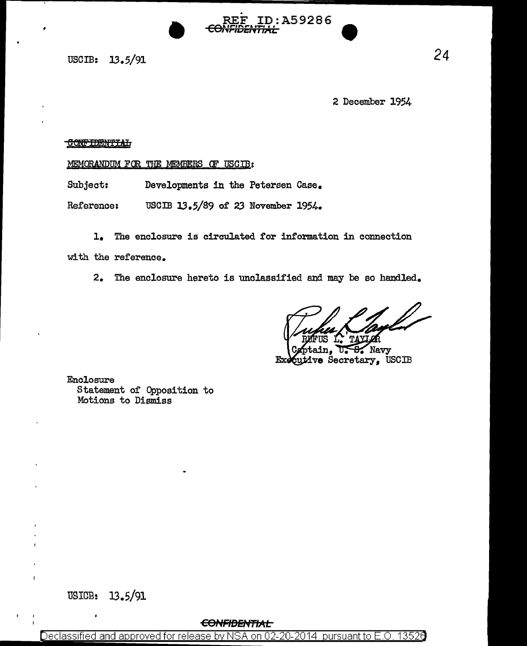USCIB: 13.5/91

2 December 1954

#### **CONFIDENTIAL**

MEMORANDUM FOR THE MEMBERS OF USCIB:

Subject: Developments in the Petersen Case.

USCIB 13.5/89 of 23 November 1954. Reference:

 $1.$ The enclosure is circulated for information in connection

D:A59286

with the reference.

2. The enclosure hereto is unclassified and may be so handled.

Navy ve Secretary, USCIB Ŧэ

Enclosure Statement of Opposition to Motions to Dismiss

## **CONFIDENTIAL**

Declassified and approved for release by NSA on 02-20-2014 pursuant to E.O. 13526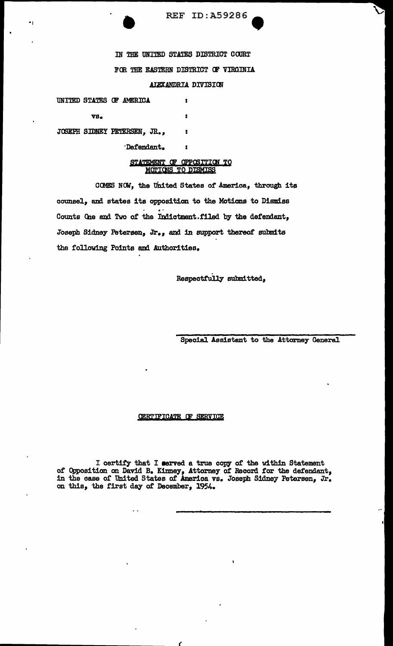**REF ID: A59286** 

い

IN THE UNITED STATES DISTRICT COURT FOR THE EASTERN DISTRICT OF VIRGINIA AIEXANDRIA DIVISION

UNITED STATES OF AMERICA  $\bullet$ vs.  $\bullet$ JOSEPH SIDNEY PETERSEN, JR.,  $\overline{\mathbf{r}}$ Defendant.

 $\blacksquare$ 

STATEMENT OF OPPOSITION TO

# MOTIONS TO DISMISS

 $\mathbf{r}$ 

COMES NOW, the United States of America, through its counsel, and states its opposition to the Motions to Dismiss Counts One and Two of the Indictment.filed by the defendant, Joseph Sidney Petersen, Jr., and in support thereof submits the following Points and Authorities.

Respectfully submitted,

Special Assistant to the Attorney General

## CERTIFICATE OF SERVICE

 $\ddot{\phantom{1}}$ 

I certify that I served a true copy of the within Statement<br>of Opposition on David B. Kinney, Attorney of Record for the defendant,<br>in the case of United States of America vs. Joseph Sidney Petersen, Jr.<br>on this, the first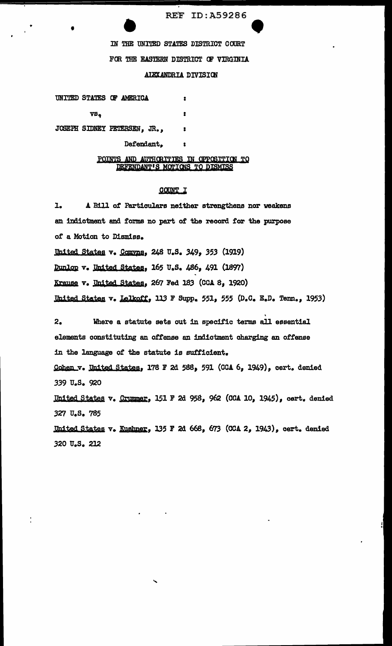**REF ID: A59286** 

IN THE UNITED STATES DISTRICT COURT FOR THE EASTERN DISTRICT OF VIRGINIA

AIEXANDRIA DIVISION

 $\bullet$ 

UNITED STATES OF AMERICA  $\ddot{\phantom{a}}$ VS,  $\mathbf{r}$ 

JOSEPH SIDNEY PETERSEN, JR.,  $\mathbf{r}$ 

Defendant,

POINTS AND AUTHORITIES IN OPPOSITION TO DEFENDANT'S MOTIONS TO DISMISS

### COUNT I

A Bill of Particulars neither strengthens nor weakens l. an indictment and forms no part of the record for the purpose of a Motion to Dismiss. United States v. Comyns, 248 U.S. 349, 353 (1919) Dunlop v. United States, 165 U.S. 486, 491 (1897) Krause v. United States, 267 Fed 183 (CCA 8, 1920) United States v. Lelkoff, 113 F Supp. 551, 555 (D.C. E.D. Tenn., 1953) Where a statute sets out in specific terms all essential  $2.$ elements constituting an offense an indictment charging an offense in the language of the statute is sufficient. Cohen v. United States, 178 F 2d 588, 591 (CCA 6, 1949), cert. denied 339 U.S. 920 United States v. Crummer, 151 F 2d 958, 962 (CCA 10, 1945), cert. denied 327 U.S. 785 United States v. Kushner, 135 F 2d 668, 673 (CCA 2, 1943), cert. denied 320 U.S. 212